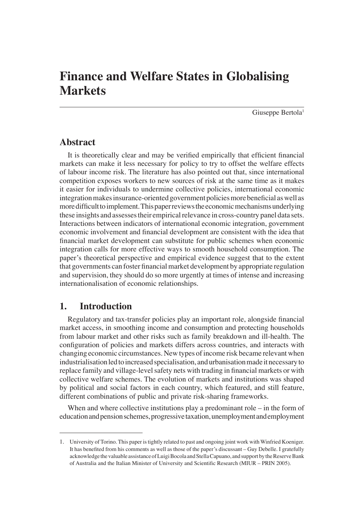# **Finance and Welfare States in Globalising Markets**

Giuseppe Bertola<sup>1</sup>

# **Abstract**

It is theoretically clear and may be verified empirically that efficient financial markets can make it less necessary for policy to try to offset the welfare effects of labour income risk. The literature has also pointed out that, since international competition exposes workers to new sources of risk at the same time as it makes it easier for individuals to undermine collective policies, international economic integration makes insurance-oriented government policies more beneficial as well as more difficult to implement. This paper reviews the economic mechanisms underlying these insights and assesses their empirical relevance in cross-country panel data sets. Interactions between indicators of international economic integration, government economic involvement and financial development are consistent with the idea that financial market development can substitute for public schemes when economic integration calls for more effective ways to smooth household consumption. The paper's theoretical perspective and empirical evidence suggest that to the extent that governments can foster financial market development by appropriate regulation and supervision, they should do so more urgently at times of intense and increasing internationalisation of economic relationships.

# **1. Introduction**

Regulatory and tax-transfer policies play an important role, alongside financial market access, in smoothing income and consumption and protecting households from labour market and other risks such as family breakdown and ill-health. The configuration of policies and markets differs across countries, and interacts with changing economic circumstances. New types of income risk became relevant when industrialisation led to increased specialisation, and urbanisation made it necessary to replace family and village-level safety nets with trading in financial markets or with collective welfare schemes. The evolution of markets and institutions was shaped by political and social factors in each country, which featured, and still feature, different combinations of public and private risk-sharing frameworks.

When and where collective institutions play a predominant role – in the form of education and pension schemes, progressive taxation, unemployment and employment

<sup>1.</sup> University of Torino. This paper is tightly related to past and ongoing joint work with Winfried Koeniger. It has benefited from his comments as well as those of the paper's discussant - Guy Debelle. I gratefully acknowledge the valuable assistance of Luigi Bocola and Stella Capuano, and support by the Reserve Bank of Australia and the Italian Minister of University and Scientific Research (MIUR – PRIN 2005).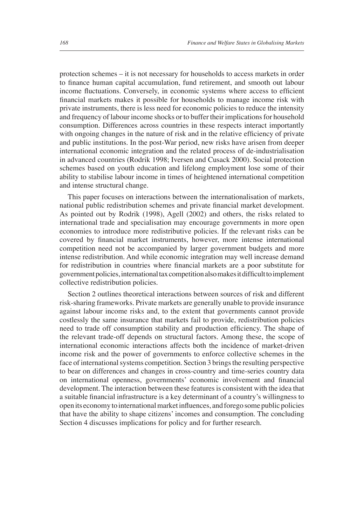protection schemes – it is not necessary for households to access markets in order to finance human capital accumulation, fund retirement, and smooth out labour income fluctuations. Conversely, in economic systems where access to efficient financial markets makes it possible for households to manage income risk with private instruments, there is less need for economic policies to reduce the intensity and frequency of labour income shocks or to buffer their implications for household consumption. Differences across countries in these respects interact importantly with ongoing changes in the nature of risk and in the relative efficiency of private and public institutions. In the post-War period, new risks have arisen from deeper international economic integration and the related process of de-industrialisation in advanced countries (Rodrik 1998; Iversen and Cusack 2000). Social protection schemes based on youth education and lifelong employment lose some of their ability to stabilise labour income in times of heightened international competition and intense structural change.

This paper focuses on interactions between the internationalisation of markets, national public redistribution schemes and private financial market development. As pointed out by Rodrik (1998), Agell (2002) and others, the risks related to international trade and specialisation may encourage governments in more open economies to introduce more redistributive policies. If the relevant risks can be covered by financial market instruments, however, more intense international competition need not be accompanied by larger government budgets and more intense redistribution. And while economic integration may well increase demand for redistribution in countries where financial markets are a poor substitute for government policies, international tax competition also makes it difficult to implement collective redistribution policies.

Section 2 outlines theoretical interactions between sources of risk and different risk-sharing frameworks. Private markets are generally unable to provide insurance against labour income risks and, to the extent that governments cannot provide costlessly the same insurance that markets fail to provide, redistribution policies need to trade off consumption stability and production efficiency. The shape of the relevant trade-off depends on structural factors. Among these, the scope of international economic interactions affects both the incidence of market-driven income risk and the power of governments to enforce collective schemes in the face of international systems competition. Section 3 brings the resulting perspective to bear on differences and changes in cross-country and time-series country data on international openness, governments' economic involvement and financial development. The interaction between these features is consistent with the idea that a suitable financial infrastructure is a key determinant of a country's willingness to open its economy to international market infl uences, and forego some public policies that have the ability to shape citizens' incomes and consumption. The concluding Section 4 discusses implications for policy and for further research.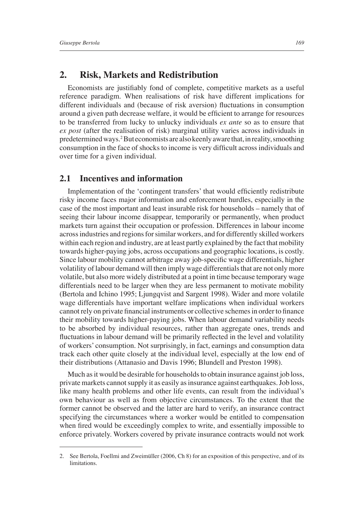# **2. Risk, Markets and Redistribution**

Economists are justifiably fond of complete, competitive markets as a useful reference paradigm. When realisations of risk have different implications for different individuals and (because of risk aversion) fluctuations in consumption around a given path decrease welfare, it would be efficient to arrange for resources to be transferred from lucky to unlucky individuals *ex ante* so as to ensure that *ex post* (after the realisation of risk) marginal utility varies across individuals in predetermined ways.2 But economists are also keenly aware that, in reality, smoothing consumption in the face of shocks to income is very difficult across individuals and over time for a given individual.

## **2.1 Incentives and information**

Implementation of the 'contingent transfers' that would efficiently redistribute risky income faces major information and enforcement hurdles, especially in the case of the most important and least insurable risk for households – namely that of seeing their labour income disappear, temporarily or permanently, when product markets turn against their occupation or profession. Differences in labour income across industries and regions for similar workers, and for differently skilled workers within each region and industry, are at least partly explained by the fact that mobility towards higher-paying jobs, across occupations and geographic locations, is costly. Since labour mobility cannot arbitrage away job-specific wage differentials, higher volatility of labour demand will then imply wage differentials that are not only more volatile, but also more widely distributed at a point in time because temporary wage differentials need to be larger when they are less permanent to motivate mobility (Bertola and Ichino 1995; Ljungqvist and Sargent 1998). Wider and more volatile wage differentials have important welfare implications when individual workers cannot rely on private financial instruments or collective schemes in order to finance their mobility towards higher-paying jobs. When labour demand variability needs to be absorbed by individual resources, rather than aggregate ones, trends and fluctuations in labour demand will be primarily reflected in the level and volatility of workers' consumption. Not surprisingly, in fact, earnings and consumption data track each other quite closely at the individual level, especially at the low end of their distributions (Attanasio and Davis 1996; Blundell and Preston 1998).

Much as it would be desirable for households to obtain insurance against job loss, private markets cannot supply it as easily as insurance against earthquakes. Job loss, like many health problems and other life events, can result from the individual's own behaviour as well as from objective circumstances. To the extent that the former cannot be observed and the latter are hard to verify, an insurance contract specifying the circumstances where a worker would be entitled to compensation when fired would be exceedingly complex to write, and essentially impossible to enforce privately. Workers covered by private insurance contracts would not work

<sup>2.</sup> See Bertola, Foellmi and Zweimüller (2006, Ch 8) for an exposition of this perspective, and of its **limitations**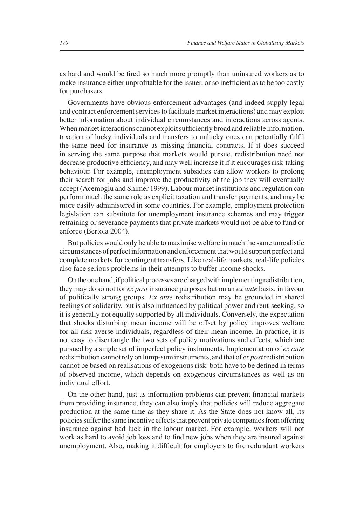as hard and would be fired so much more promptly than uninsured workers as to make insurance either unprofitable for the issuer, or so inefficient as to be too costly for purchasers.

Governments have obvious enforcement advantages (and indeed supply legal and contract enforcement services to facilitate market interactions) and may exploit better information about individual circumstances and interactions across agents. When market interactions cannot exploit sufficiently broad and reliable information, taxation of lucky individuals and transfers to unlucky ones can potentially fulfil the same need for insurance as missing financial contracts. If it does succeed in serving the same purpose that markets would pursue, redistribution need not decrease productive efficiency, and may well increase it if it encourages risk-taking behaviour. For example, unemployment subsidies can allow workers to prolong their search for jobs and improve the productivity of the job they will eventually accept (Acemoglu and Shimer 1999). Labour market institutions and regulation can perform much the same role as explicit taxation and transfer payments, and may be more easily administered in some countries. For example, employment protection legislation can substitute for unemployment insurance schemes and may trigger retraining or severance payments that private markets would not be able to fund or enforce (Bertola 2004).

But policies would only be able to maximise welfare in much the same unrealistic circumstances of perfect information and enforcement that would support perfect and complete markets for contingent transfers. Like real-life markets, real-life policies also face serious problems in their attempts to buffer income shocks.

On the one hand, if political processes are charged with implementing redistribution, they may do so not for *ex post* insurance purposes but on an *ex ante* basis, in favour of politically strong groups. *Ex ante* redistribution may be grounded in shared feelings of solidarity, but is also influenced by political power and rent-seeking, so it is generally not equally supported by all individuals. Conversely, the expectation that shocks disturbing mean income will be offset by policy improves welfare for all risk-averse individuals, regardless of their mean income. In practice, it is not easy to disentangle the two sets of policy motivations and effects, which are pursued by a single set of imperfect policy instruments. Implementation of *ex ante* redistribution cannot rely on lump-sum instruments, and that of *ex post* redistribution cannot be based on realisations of exogenous risk: both have to be defined in terms of observed income, which depends on exogenous circumstances as well as on individual effort.

On the other hand, just as information problems can prevent financial markets from providing insurance, they can also imply that policies will reduce aggregate production at the same time as they share it. As the State does not know all, its policies suffer the same incentive effects that prevent private companies from offering insurance against bad luck in the labour market. For example, workers will not work as hard to avoid job loss and to find new jobs when they are insured against unemployment. Also, making it difficult for employers to fire redundant workers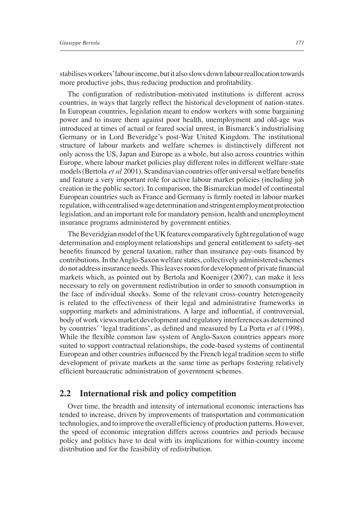stabilises workers' labour income, but it also slows down labour reallocation towards more productive jobs, thus reducing production and profitability.

The configuration of redistribution-motivated institutions is different across countries, in ways that largely reflect the historical development of nation-states. In European countries, legislation meant to endow workers with some bargaining power and to insure them against poor health, unemployment and old-age was introduced at times of actual or feared social unrest, in Bismarck's industrialising Germany or in Lord Beveridge's post-War United Kingdom. The institutional structure of labour markets and welfare schemes is distinctively different not only across the US, Japan and Europe as a whole, but also across countries within Europe, where labour market policies play different roles in different welfare-state models (Bertola *et al* 2001). Scandinavian countries offer universal welfare benefits and feature a very important role for active labour market policies (including job creation in the public sector). In comparison, the Bismarckian model of continental European countries such as France and Germany is firmly rooted in labour market regulation, with centralised wage determination and stringent employment protection legislation, and an important role for mandatory pension, health and unemployment insurance programs administered by government entities.

The Beveridgian model of the UK features comparatively light regulation of wage determination and employment relationships and general entitlement to safety-net benefits financed by general taxation, rather than insurance pay-outs financed by contributions. In the Anglo-Saxon welfare states, collectively administered schemes do not address insurance needs. This leaves room for development of private financial markets which, as pointed out by Bertola and Koeniger (2007), can make it less necessary to rely on government redistribution in order to smooth consumption in the face of individual shocks. Some of the relevant cross-country heterogeneity is related to the effectiveness of their legal and administrative frameworks in supporting markets and administrations. A large and influential, if controversial, body of work views market development and regulatory interferences as determined by countries' 'legal traditions', as defined and measured by La Porta *et al* (1998). While the flexible common law system of Anglo-Saxon countries appears more suited to support contractual relationships, the code-based systems of continental European and other countries influenced by the French legal tradition seem to stifle development of private markets at the same time as perhaps fostering relatively efficient bureaucratic administration of government schemes.

#### **2.2 International risk and policy competition**

Over time, the breadth and intensity of international economic interactions has tended to increase, driven by improvements of transportation and communication technologies, and to improve the overall efficiency of production patterns. However, the speed of economic integration differs across countries and periods because policy and politics have to deal with its implications for within-country income distribution and for the feasibility of redistribution.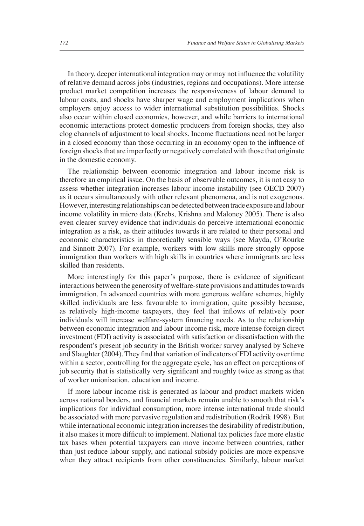In theory, deeper international integration may or may not influence the volatility of relative demand across jobs (industries, regions and occupations). More intense product market competition increases the responsiveness of labour demand to labour costs, and shocks have sharper wage and employment implications when employers enjoy access to wider international substitution possibilities. Shocks also occur within closed economies, however, and while barriers to international economic interactions protect domestic producers from foreign shocks, they also clog channels of adjustment to local shocks. Income fluctuations need not be larger in a closed economy than those occurring in an economy open to the influence of foreign shocks that are imperfectly or negatively correlated with those that originate in the domestic economy.

The relationship between economic integration and labour income risk is therefore an empirical issue. On the basis of observable outcomes, it is not easy to assess whether integration increases labour income instability (see OECD 2007) as it occurs simultaneously with other relevant phenomena, and is not exogenous. However, interesting relationships can be detected between trade exposure and labour income volatility in micro data (Krebs, Krishna and Maloney 2005). There is also even clearer survey evidence that individuals do perceive international economic integration as a risk, as their attitudes towards it are related to their personal and economic characteristics in theoretically sensible ways (see Mayda, O'Rourke and Sinnott 2007). For example, workers with low skills more strongly oppose immigration than workers with high skills in countries where immigrants are less skilled than residents.

More interestingly for this paper's purpose, there is evidence of significant interactions between the generosity of welfare-state provisions and attitudes towards immigration. In advanced countries with more generous welfare schemes, highly skilled individuals are less favourable to immigration, quite possibly because, as relatively high-income taxpayers, they feel that inflows of relatively poor individuals will increase welfare-system financing needs. As to the relationship between economic integration and labour income risk, more intense foreign direct investment (FDI) activity is associated with satisfaction or dissatisfaction with the respondent's present job security in the British worker survey analysed by Scheve and Slaughter (2004). They find that variation of indicators of FDI activity over time within a sector, controlling for the aggregate cycle, has an effect on perceptions of job security that is statistically very significant and roughly twice as strong as that of worker unionisation, education and income.

If more labour income risk is generated as labour and product markets widen across national borders, and financial markets remain unable to smooth that risk's implications for individual consumption, more intense international trade should be associated with more pervasive regulation and redistribution (Rodrik 1998). But while international economic integration increases the desirability of redistribution, it also makes it more difficult to implement. National tax policies face more elastic tax bases when potential taxpayers can move income between countries, rather than just reduce labour supply, and national subsidy policies are more expensive when they attract recipients from other constituencies. Similarly, labour market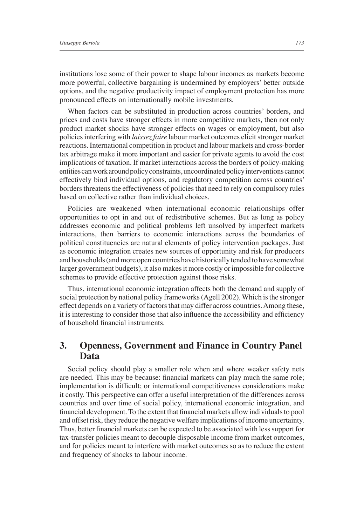institutions lose some of their power to shape labour incomes as markets become more powerful, collective bargaining is undermined by employers' better outside options, and the negative productivity impact of employment protection has more pronounced effects on internationally mobile investments.

When factors can be substituted in production across countries' borders, and prices and costs have stronger effects in more competitive markets, then not only product market shocks have stronger effects on wages or employment, but also policies interfering with *laissez faire* labour market outcomes elicit stronger market reactions. International competition in product and labour markets and cross-border tax arbitrage make it more important and easier for private agents to avoid the cost implications of taxation. If market interactions across the borders of policy-making entities can work around policy constraints, uncoordinated policy interventions cannot effectively bind individual options, and regulatory competition across countries' borders threatens the effectiveness of policies that need to rely on compulsory rules based on collective rather than individual choices.

Policies are weakened when international economic relationships offer opportunities to opt in and out of redistributive schemes. But as long as policy addresses economic and political problems left unsolved by imperfect markets interactions, then barriers to economic interactions across the boundaries of political constituencies are natural elements of policy intervention packages. Just as economic integration creates new sources of opportunity and risk for producers and households (and more open countries have historically tended to have somewhat larger government budgets), it also makes it more costly or impossible for collective schemes to provide effective protection against those risks.

Thus, international economic integration affects both the demand and supply of social protection by national policy frameworks (Agell 2002). Which is the stronger effect depends on a variety of factors that may differ across countries. Among these, it is interesting to consider those that also influence the accessibility and efficiency of household financial instruments.

# **3. Openness, Government and Finance in Country Panel Data**

Social policy should play a smaller role when and where weaker safety nets are needed. This may be because: financial markets can play much the same role; implementation is difficult; or international competitiveness considerations make it costly. This perspective can offer a useful interpretation of the differences across countries and over time of social policy, international economic integration, and financial development. To the extent that financial markets allow individuals to pool and offset risk, they reduce the negative welfare implications of income uncertainty. Thus, better financial markets can be expected to be associated with less support for tax-transfer policies meant to decouple disposable income from market outcomes, and for policies meant to interfere with market outcomes so as to reduce the extent and frequency of shocks to labour income.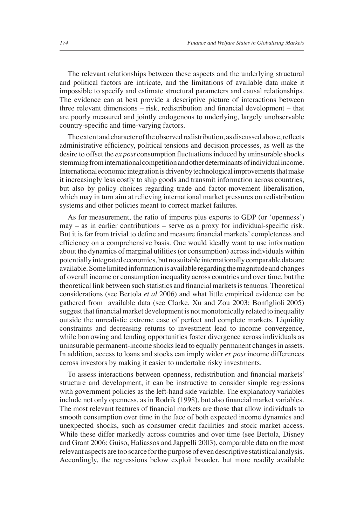The relevant relationships between these aspects and the underlying structural and political factors are intricate, and the limitations of available data make it impossible to specify and estimate structural parameters and causal relationships. The evidence can at best provide a descriptive picture of interactions between three relevant dimensions  $-$  risk, redistribution and financial development  $-$  that are poorly measured and jointly endogenous to underlying, largely unobservable country-specific and time-varying factors.

The extent and character of the observed redistribution, as discussed above, reflects administrative efficiency, political tensions and decision processes, as well as the desire to offset the *ex post* consumption fluctuations induced by uninsurable shocks stemming from international competition and other determinants of individual income. International economic integration is driven by technological improvements that make it increasingly less costly to ship goods and transmit information across countries, but also by policy choices regarding trade and factor-movement liberalisation, which may in turn aim at relieving international market pressures on redistribution systems and other policies meant to correct market failures.

As for measurement, the ratio of imports plus exports to GDP (or 'openness')  $may - as$  in earlier contributions – serve as a proxy for individual-specific risk. But it is far from trivial to define and measure financial markets' completeness and efficiency on a comprehensive basis. One would ideally want to use information about the dynamics of marginal utilities (or consumption) across individuals within potentially integrated economies, but no suitable internationally comparable data are available. Some limited information is available regarding the magnitude and changes of overall income or consumption inequality across countries and over time, but the theoretical link between such statistics and financial markets is tenuous. Theoretical considerations (see Bertola *et al* 2006) and what little empirical evidence can be gathered from available data (see Clarke, Xu and Zou 2003; Bonfiglioli 2005) suggest that financial market development is not monotonically related to inequality outside the unrealistic extreme case of perfect and complete markets. Liquidity constraints and decreasing returns to investment lead to income convergence, while borrowing and lending opportunities foster divergence across individuals as uninsurable permanent-income shocks lead to equally permanent changes in assets. In addition, access to loans and stocks can imply wider *ex post* income differences across investors by making it easier to undertake risky investments.

To assess interactions between openness, redistribution and financial markets' structure and development, it can be instructive to consider simple regressions with government policies as the left-hand side variable. The explanatory variables include not only openness, as in Rodrik (1998), but also financial market variables. The most relevant features of financial markets are those that allow individuals to smooth consumption over time in the face of both expected income dynamics and unexpected shocks, such as consumer credit facilities and stock market access. While these differ markedly across countries and over time (see Bertola, Disney and Grant 2006; Guiso, Haliassos and Jappelli 2003), comparable data on the most relevant aspects are too scarce for the purpose of even descriptive statistical analysis. Accordingly, the regressions below exploit broader, but more readily available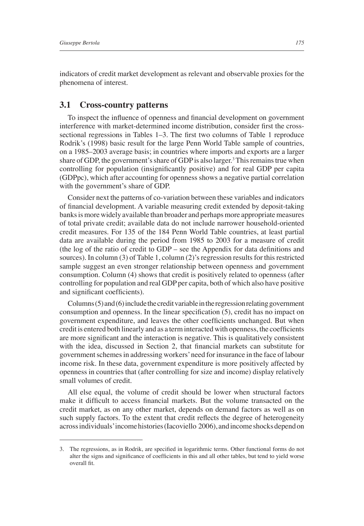indicators of credit market development as relevant and observable proxies for the phenomena of interest.

#### **3.1 Cross-country patterns**

To inspect the influence of openness and financial development on government interference with market-determined income distribution, consider first the crosssectional regressions in Tables  $1-3$ . The first two columns of Table 1 reproduce Rodrik's (1998) basic result for the large Penn World Table sample of countries, on a 1985–2003 average basis; in countries where imports and exports are a larger share of GDP, the government's share of GDP is also larger.<sup>3</sup> This remains true when controlling for population (insignificantly positive) and for real GDP per capita (GDPpc), which after accounting for openness shows a negative partial correlation with the government's share of GDP.

Consider next the patterns of co-variation between these variables and indicators of financial development. A variable measuring credit extended by deposit-taking banks is more widely available than broader and perhaps more appropriate measures of total private credit; available data do not include narrower household-oriented credit measures. For 135 of the 184 Penn World Table countries, at least partial data are available during the period from 1985 to 2003 for a measure of credit (the log of the ratio of credit to  $GDP$  – see the Appendix for data definitions and sources). In column (3) of Table 1, column (2)'s regression results for this restricted sample suggest an even stronger relationship between openness and government consumption. Column (4) shows that credit is positively related to openness (after controlling for population and real GDP per capita, both of which also have positive and significant coefficients).

Columns (5) and (6) include the credit variable in the regression relating government consumption and openness. In the linear specification  $(5)$ , credit has no impact on government expenditure, and leaves the other coefficients unchanged. But when credit is entered both linearly and as a term interacted with openness, the coefficients are more significant and the interaction is negative. This is qualitatively consistent with the idea, discussed in Section 2, that financial markets can substitute for government schemes in addressing workers' need for insurance in the face of labour income risk. In these data, government expenditure is more positively affected by openness in countries that (after controlling for size and income) display relatively small volumes of credit.

All else equal, the volume of credit should be lower when structural factors make it difficult to access financial markets. But the volume transacted on the credit market, as on any other market, depends on demand factors as well as on such supply factors. To the extent that credit reflects the degree of heterogeneity across individuals' income histories (Iacoviello 2006), and income shocks depend on

<sup>3.</sup> The regressions, as in Rodrik, are specified in logarithmic terms. Other functional forms do not alter the signs and significance of coefficients in this and all other tables, but tend to yield worse overall fit.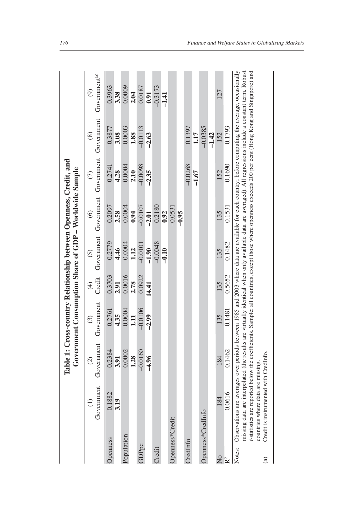|                                           |                   |                                                            |                             | Table 1: Cross-country Relationship between Openness, Credit, and<br>Government Consumption Share of GDP - Worldwide Sample |                 |                      |                                                               |                      |                      |                                                                                                                                                                                                                                                                                                                                                                                                                                                                             |
|-------------------------------------------|-------------------|------------------------------------------------------------|-----------------------------|-----------------------------------------------------------------------------------------------------------------------------|-----------------|----------------------|---------------------------------------------------------------|----------------------|----------------------|-----------------------------------------------------------------------------------------------------------------------------------------------------------------------------------------------------------------------------------------------------------------------------------------------------------------------------------------------------------------------------------------------------------------------------------------------------------------------------|
|                                           |                   | Government                                                 | Government<br>$\widehat{c}$ | Government<br>$\odot$                                                                                                       | $\bigoplus$     | $\widehat{c}$        | Credit Government Government Government Government<br>$\odot$ | $\widehat{\in}$      | $\circledS$          | Government <sup>(a)</sup><br>$\widehat{\Theta}$                                                                                                                                                                                                                                                                                                                                                                                                                             |
| Openness                                  |                   | 0.1882<br>3.19                                             | 0.2384<br>3.91              | 0.2761<br>4.35                                                                                                              | 0.3703<br>2.91  | 0.2779<br>4.46       | 0.2097<br>2.58                                                | 0.2741<br>4.28       | 0.3877<br>3.08       | 0.3963<br>3.38                                                                                                                                                                                                                                                                                                                                                                                                                                                              |
| Population                                |                   |                                                            | 0.0002<br>1.28              | 0.0004<br>1.11                                                                                                              | 0.0016<br>2.78  | 0.0004<br>1.12       | 0.0004<br>0.94                                                | 0.0004<br>2.10       | 0.0003<br>1.88       | 0.0009<br>2.04                                                                                                                                                                                                                                                                                                                                                                                                                                                              |
| GDPpc                                     |                   |                                                            | $-0.0160$<br>$-4.96$        | $-0.0106$<br>$-2.99$                                                                                                        | 0.0922<br>14.41 | $-0.0101$<br>$-1.90$ | $-0.0107$<br>$-2.01$                                          | $-0.0098$<br>$-2.35$ | $-0.0113$<br>$-2.63$ | 0.0187<br>0.91                                                                                                                                                                                                                                                                                                                                                                                                                                                              |
| Credit                                    |                   |                                                            |                             |                                                                                                                             |                 | $-0.0048$<br>$-0.10$ | 0.2180<br>0.92                                                |                      |                      | $-0.3173$<br>$-1.41$                                                                                                                                                                                                                                                                                                                                                                                                                                                        |
|                                           | Openness*Credit   |                                                            |                             |                                                                                                                             |                 |                      | $-0.0531$<br>$-0.95$                                          |                      |                      |                                                                                                                                                                                                                                                                                                                                                                                                                                                                             |
| CredInfo                                  |                   |                                                            |                             |                                                                                                                             |                 |                      |                                                               | $-0.0268$<br>$-1.67$ | 0.1397<br>1.17       |                                                                                                                                                                                                                                                                                                                                                                                                                                                                             |
|                                           | Openness*CredInfo |                                                            |                             |                                                                                                                             |                 |                      |                                                               |                      | $-0.0385$<br>$-1.42$ |                                                                                                                                                                                                                                                                                                                                                                                                                                                                             |
| $\overline{\mathsf{X}}$<br>$\mathbb{R}^2$ |                   | 0.0616<br>184                                              | 0.1462<br>184               | 0.1481<br>135                                                                                                               | 0.5652<br>135   | 0.1482<br>135        | 0.1531<br>135                                                 | 0.1690<br>152        | 0.1793<br>152        | 127                                                                                                                                                                                                                                                                                                                                                                                                                                                                         |
| Notes:<br>$\binom{a}{b}$                  |                   | countries where data are missing<br>Credit is instrumented | with CredInfo.              |                                                                                                                             |                 |                      |                                                               |                      |                      | Observations are averages over periods between 1985 and 2003 where data are available for each country; before computing the average, occasionally<br>t-statistics are reported below the coefficients. Sample: all countries, except those where openness exceeds 200 per cent (Hong Kong and Singapore) and<br>missing data are interpolated (the results are virtually identical when only available data are averaged). All regressions include a constant term. Robust |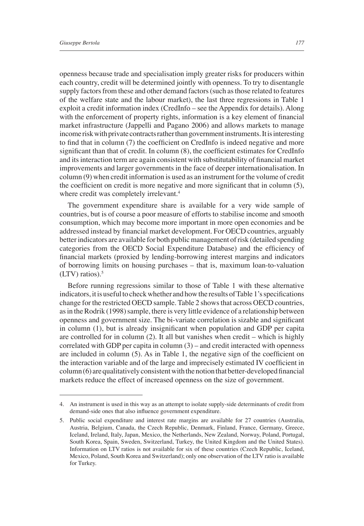openness because trade and specialisation imply greater risks for producers within each country, credit will be determined jointly with openness. To try to disentangle supply factors from these and other demand factors (such as those related to features of the welfare state and the labour market), the last three regressions in Table 1 exploit a credit information index (CredInfo – see the Appendix for details). Along with the enforcement of property rights, information is a key element of financial market infrastructure (Jappelli and Pagano 2006) and allows markets to manage income risk with private contracts rather than government instruments. It is interesting to find that in column  $(7)$  the coefficient on CredInfo is indeed negative and more significant than that of credit. In column  $(8)$ , the coefficient estimates for CredInfo and its interaction term are again consistent with substitutability of financial market improvements and larger governments in the face of deeper internationalisation. In column (9) when credit information is used as an instrument for the volume of credit the coefficient on credit is more negative and more significant that in column  $(5)$ , where credit was completely irrelevant.<sup>4</sup>

The government expenditure share is available for a very wide sample of countries, but is of course a poor measure of efforts to stabilise income and smooth consumption, which may become more important in more open economies and be addressed instead by financial market development. For OECD countries, arguably better indicators are available for both public management of risk (detailed spending categories from the OECD Social Expenditure Database) and the efficiency of financial markets (proxied by lending-borrowing interest margins and indicators of borrowing limits on housing purchases – that is, maximum loan-to-valuation  $(LTV)$  ratios).<sup>5</sup>

Before running regressions similar to those of Table 1 with these alternative indicators, it is useful to check whether and how the results of Table 1's specifications change for the restricted OECD sample. Table 2 shows that across OECD countries, as in the Rodrik (1998) sample, there is very little evidence of a relationship between openness and government size. The bi-variate correlation is sizable and significant in column  $(1)$ , but is already insignificant when population and GDP per capita are controlled for in column (2). It all but vanishes when credit – which is highly correlated with GDP per capita in column  $(3)$  – and credit interacted with openness are included in column  $(5)$ . As in Table 1, the negative sign of the coefficient on the interaction variable and of the large and imprecisely estimated IV coefficient in  $\text{column} (6)$  are qualitatively consistent with the notion that better-developed financial markets reduce the effect of increased openness on the size of government.

<sup>4.</sup> An instrument is used in this way as an attempt to isolate supply-side determinants of credit from demand-side ones that also influence government expenditure.

<sup>5.</sup> Public social expenditure and interest rate margins are available for 27 countries (Australia, Austria, Belgium, Canada, the Czech Republic, Denmark, Finland, France, Germany, Greece, Iceland, Ireland, Italy, Japan, Mexico, the Netherlands, New Zealand, Norway, Poland, Portugal, South Korea, Spain, Sweden, Switzerland, Turkey, the United Kingdom and the United States). Information on LTV ratios is not available for six of these countries (Czech Republic, Iceland, Mexico, Poland, South Korea and Switzerland); only one observation of the LTV ratio is available for Turkey.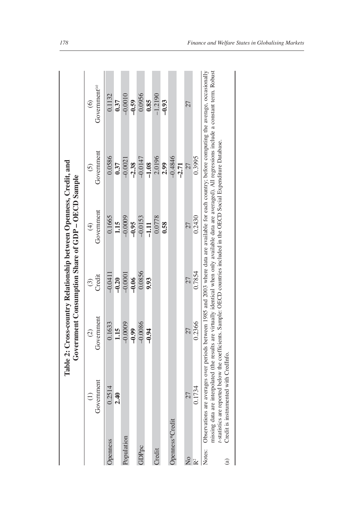|                 |                 |               |           | Government Consumption Share of GDP-OECD Sample |            |                                                                                                                                                                                                                                                                                                                         |
|-----------------|-----------------|---------------|-----------|-------------------------------------------------|------------|-------------------------------------------------------------------------------------------------------------------------------------------------------------------------------------------------------------------------------------------------------------------------------------------------------------------------|
|                 | $\widehat{\Xi}$ | $\widehat{c}$ | $\odot$   | $\bigoplus$                                     | $\odot$    | $\widehat{\circ}$                                                                                                                                                                                                                                                                                                       |
|                 | Government      | Government    | Credit    | Government                                      | Government | Government <sup>(a)</sup>                                                                                                                                                                                                                                                                                               |
| Jpenness        | 0.2514          | 0.1633        | $-0.0411$ | 0.1665                                          | 0.0586     | 0.1132                                                                                                                                                                                                                                                                                                                  |
|                 | 2.40            | 1.15          | $-0.20$   | 1.15                                            | 0.37       | 0.37                                                                                                                                                                                                                                                                                                                    |
| Population      |                 | $-0.0009$     | $-0.0001$ | $-0.0009$                                       | $-0.0021$  | $-0.0010$                                                                                                                                                                                                                                                                                                               |
|                 |                 | $-0.99$       | $-0.06$   | $-0.95$                                         | $-2.38$    | $-0.59$                                                                                                                                                                                                                                                                                                                 |
| <b>GDPpc</b>    |                 | $-0.0086$     | 0.0856    | $-0.0153$                                       | $-0.0147$  | 0.0956                                                                                                                                                                                                                                                                                                                  |
|                 |                 | $-0.94$       | 9.93      | $-1.11$                                         | $-1.08$    | 0.85                                                                                                                                                                                                                                                                                                                    |
| Credit          |                 |               |           | 0.0778                                          | 2.0196     | $-1.2190$                                                                                                                                                                                                                                                                                                               |
|                 |                 |               |           | 0.58                                            | 2.99       | $-0.93$                                                                                                                                                                                                                                                                                                                 |
| Openness*Credit |                 |               |           |                                                 | $-0.4846$  |                                                                                                                                                                                                                                                                                                                         |
|                 |                 |               |           |                                                 | $-2.71$    |                                                                                                                                                                                                                                                                                                                         |
| $\frac{1}{2}$   | 27              | 27            | 27        | 27                                              | 27         | 27                                                                                                                                                                                                                                                                                                                      |
| R <sup>2</sup>  | 0.1734          | 0.2366        | 0.7854    | 0.2430                                          | 0.3995     |                                                                                                                                                                                                                                                                                                                         |
|                 |                 |               |           |                                                 |            | Notes: Observations are averages over periods between 1985 and 2003 where data are available for each country, before computing the average, occasionally<br>missing data are internolated (the results are virtually identical when only available data are averaged). All regressions include a constant term. Robust |

missing data are interpolated (the results are virtually identical when only available data are averaged). All regressions include a constant term. Robust massing sum are interposited via crossing and controller OECD countries included in the OECD Social Expenditure Database.<br>Credit is instrumented with CredInfo.<br>Credit is instrumented with CredInfo. *t*-statistics are reported below the coefficients. Sample: OECD countries included in the OECD Social Expenditure Database.

(a) Credit is instrumented with CredInfo. $\widehat{a}$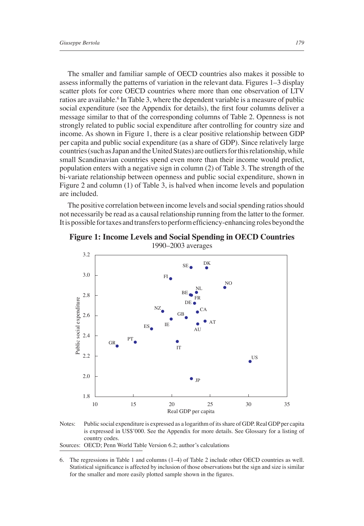The smaller and familiar sample of OECD countries also makes it possible to assess informally the patterns of variation in the relevant data. Figures 1–3 display scatter plots for core OECD countries where more than one observation of LTV ratios are available.<sup>6</sup> In Table 3, where the dependent variable is a measure of public social expenditure (see the Appendix for details), the first four columns deliver a message similar to that of the corresponding columns of Table 2. Openness is not strongly related to public social expenditure after controlling for country size and income. As shown in Figure 1, there is a clear positive relationship between GDP per capita and public social expenditure (as a share of GDP). Since relatively large countries (such as Japan and the United States) are outliers for this relationship, while small Scandinavian countries spend even more than their income would predict, population enters with a negative sign in column (2) of Table 3. The strength of the bi-variate relationship between openness and public social expenditure, shown in Figure 2 and column (1) of Table 3, is halved when income levels and population are included.

The positive correlation between income levels and social spending ratios should not necessarily be read as a causal relationship running from the latter to the former. It is possible for taxes and transfers to perform efficiency-enhancing roles beyond the



**Figure 1: Income Levels and Social Spending in OECD Countries** 1990–2003 averages



Sources: OECD; Penn World Table Version 6.2; author's calculations

<sup>6.</sup> The regressions in Table 1 and columns (1–4) of Table 2 include other OECD countries as well. Statistical significance is affected by inclusion of those observations but the sign and size is similar for the smaller and more easily plotted sample shown in the figures.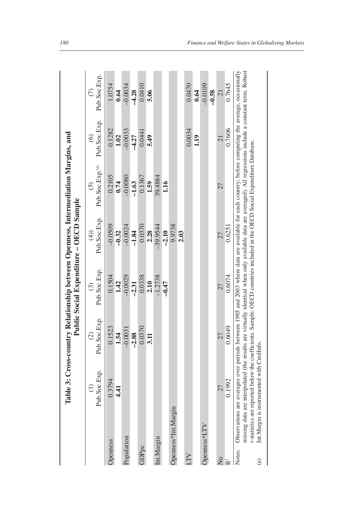|                              |                     |                                           |                               | Public Social Expenditure - OECD Sample |                                | Table 3: Cross-country Relationship between Openness, Intermediation Margins, and                                                                                                                                                                                                                                                                                                                                                              |                      |                      |
|------------------------------|---------------------|-------------------------------------------|-------------------------------|-----------------------------------------|--------------------------------|------------------------------------------------------------------------------------------------------------------------------------------------------------------------------------------------------------------------------------------------------------------------------------------------------------------------------------------------------------------------------------------------------------------------------------------------|----------------------|----------------------|
|                              |                     | Pub.Soc.Exp.                              | Pub.Soc.Exp.<br>$\widehat{c}$ | Pub.Soc.Exp.<br>$\widehat{\mathcal{C}}$ | Pub.Soc.Exp.<br>$\widehat{4})$ | Pub.Soc.Exp. <sup>(a)</sup>                                                                                                                                                                                                                                                                                                                                                                                                                    | Pub.Soc.Exp.         | Pub.Soc.Exp.         |
| <b>Openness</b>              |                     | 0.3794<br>$\mathbf{4}$                    | 0.1523<br>1.54                | 0.1504<br>1.42                          | $-0.0509$<br>$-0.32$           | 0.2105<br>0.74                                                                                                                                                                                                                                                                                                                                                                                                                                 | 0.1282<br>1.02       | 1.0754<br>0.64       |
| Population                   |                     |                                           | $-0.0031$<br>$-2.88$          | $-0.0029$<br>$-2.31$                    | $-0.0024$<br>$-1.84$           | $-0.0080$<br>$-1.63$                                                                                                                                                                                                                                                                                                                                                                                                                           | $-0.0033$<br>$-4.27$ | $-0.0034$<br>$-4.28$ |
| GDPpc                        |                     |                                           | 0.0370<br>3.11                | 0.0338<br>2.10                          | 0.0370<br>2.28                 | 0.1367<br>1.59                                                                                                                                                                                                                                                                                                                                                                                                                                 | 0.0441<br>5.49       | 0.0410<br>5.06       |
| Int.Margin                   |                     |                                           |                               | $-1.2738$                               | $-39.9544$                     | 39.4884                                                                                                                                                                                                                                                                                                                                                                                                                                        |                      |                      |
|                              | Openness*Int.Margin |                                           |                               | $-0.47$                                 | 9.9738<br>$-2.10$              | 1.16                                                                                                                                                                                                                                                                                                                                                                                                                                           |                      |                      |
|                              |                     |                                           |                               |                                         | 2.03                           |                                                                                                                                                                                                                                                                                                                                                                                                                                                |                      |                      |
| ĽГ                           |                     |                                           |                               |                                         |                                |                                                                                                                                                                                                                                                                                                                                                                                                                                                | 0.0034               | 0.0470               |
| Openness*LTV                 |                     |                                           |                               |                                         |                                |                                                                                                                                                                                                                                                                                                                                                                                                                                                | 1.19                 | $-0.0109$<br>0.64    |
|                              |                     |                                           |                               |                                         |                                |                                                                                                                                                                                                                                                                                                                                                                                                                                                |                      | $-0.58$              |
| $\mathsf{\Sigma}^\mathsf{o}$ |                     | $\tilde{\mathcal{L}}$                     | 27                            |                                         |                                | 27                                                                                                                                                                                                                                                                                                                                                                                                                                             |                      | $\overline{21}$      |
| R <sup>2</sup>               |                     | 0.1992                                    | 0.6049                        | 0.6074                                  | 0.6251                         |                                                                                                                                                                                                                                                                                                                                                                                                                                                | 0.7606               | 0.7645               |
| Notes:<br>$\widehat{a}$      |                     | Int.Margin is instrumented with CredInfo. |                               |                                         |                                | missing data are interpolated (the results are virtually identical when only available data are averaged). All regressions include a constant term. Robust<br>Observations are averages over periods between 1985 and 2003 where data are available for each country; before computing the average, occasionally<br>t-statistics are reported below the coefficients. Sample: OECD countries included in the OECD Social Expenditure Database. |                      |                      |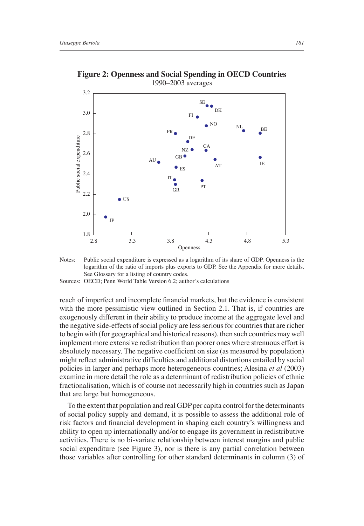

**Figure 2: Openness and Social Spending in OECD Countries** 1990–2003 averages

Sources: OECD; Penn World Table Version 6.2; author's calculations

reach of imperfect and incomplete financial markets, but the evidence is consistent with the more pessimistic view outlined in Section 2.1. That is, if countries are exogenously different in their ability to produce income at the aggregate level and the negative side-effects of social policy are less serious for countries that are richer to begin with (for geographical and historical reasons), then such countries may well implement more extensive redistribution than poorer ones where strenuous effort is absolutely necessary. The negative coefficient on size (as measured by population) might reflect administrative difficulties and additional distortions entailed by social policies in larger and perhaps more heterogeneous countries; Alesina *et al* (2003) examine in more detail the role as a determinant of redistribution policies of ethnic fractionalisation, which is of course not necessarily high in countries such as Japan that are large but homogeneous.

To the extent that population and real GDP per capita control for the determinants of social policy supply and demand, it is possible to assess the additional role of risk factors and financial development in shaping each country's willingness and ability to open up internationally and/or to engage its government in redistributive activities. There is no bi-variate relationship between interest margins and public social expenditure (see Figure 3), nor is there is any partial correlation between those variables after controlling for other standard determinants in column (3) of

Notes: Public social expenditure is expressed as a logarithm of its share of GDP. Openness is the logarithm of the ratio of imports plus exports to GDP. See the Appendix for more details. See Glossary for a listing of country codes.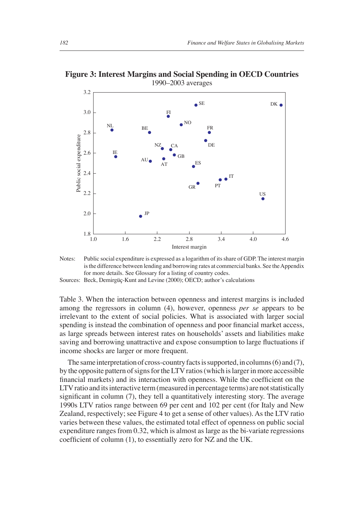**Figure 3: Interest Margins and Social Spending in OECD Countries** 1990–2003 averages



Notes: Public social expenditure is expressed as a logarithm of its share of GDP. The interest margin is the difference between lending and borrowing rates at commercial banks. See the Appendix for more details. See Glossary for a listing of country codes.

Sources: Beck, Demirgüç-Kunt and Levine (2000); OECD; author's calculations

Table 3. When the interaction between openness and interest margins is included among the regressors in column (4), however, openness *per se* appears to be irrelevant to the extent of social policies. What is associated with larger social spending is instead the combination of openness and poor financial market access, as large spreads between interest rates on households' assets and liabilities make saving and borrowing unattractive and expose consumption to large fluctuations if income shocks are larger or more frequent.

The same interpretation of cross-country facts is supported, in columns (6) and (7), by the opposite pattern of signs for the LTV ratios (which is larger in more accessible financial markets) and its interaction with openness. While the coefficient on the LTV ratio and its interactive term (measured in percentage terms) are not statistically significant in column (7), they tell a quantitatively interesting story. The average 1990s LTV ratios range between 69 per cent and 102 per cent (for Italy and New Zealand, respectively; see Figure 4 to get a sense of other values). As the LTV ratio varies between these values, the estimated total effect of openness on public social expenditure ranges from 0.32, which is almost as large as the bi-variate regressions coefficient of column  $(1)$ , to essentially zero for NZ and the UK.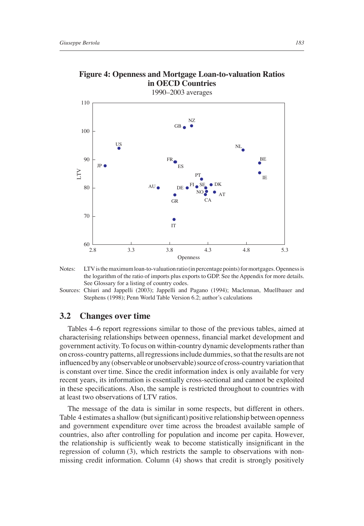

## **Figure 4: Openness and Mortgage Loan-to-valuation Ratios in OECD Countries**

1990–2003 averages

Notes: LTV is the maximum loan-to-valuation ratio (in percentage points) for mortgages. Openness is the logarithm of the ratio of imports plus exports to GDP. See the Appendix for more details. See Glossary for a listing of country codes.

Sources: Chiuri and Jappelli (2003); Jappelli and Pagano (1994); Maclennan, Muellbauer and Stephens (1998); Penn World Table Version 6.2; author's calculations

#### **3.2 Changes over time**

Tables 4–6 report regressions similar to those of the previous tables, aimed at characterising relationships between openness, financial market development and government activity. To focus on within-country dynamic developments rather than on cross-country patterns, all regressions include dummies, so that the results are not influenced by any (observable or unobservable) source of cross-country variation that is constant over time. Since the credit information index is only available for very recent years, its information is essentially cross-sectional and cannot be exploited in these specifications. Also, the sample is restricted throughout to countries with at least two observations of LTV ratios.

The message of the data is similar in some respects, but different in others. Table 4 estimates a shallow (but significant) positive relationship between openness and government expenditure over time across the broadest available sample of countries, also after controlling for population and income per capita. However, the relationship is sufficiently weak to become statistically insignificant in the regression of column (3), which restricts the sample to observations with nonmissing credit information. Column (4) shows that credit is strongly positively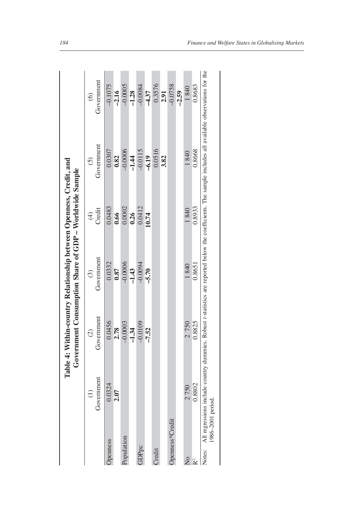|                           |                                                                                                                                                                                      |               | Government Consumption Share of GDP - Worldwide Sample |                         |            |                     |
|---------------------------|--------------------------------------------------------------------------------------------------------------------------------------------------------------------------------------|---------------|--------------------------------------------------------|-------------------------|------------|---------------------|
|                           | $\widehat{\Xi}$                                                                                                                                                                      | $\widehat{c}$ | $\left( \mathcal{E}\right)$                            | $\widehat{\mathcal{F}}$ | $\odot$    | $\odot$             |
|                           | Government                                                                                                                                                                           | Government    | Government                                             | Credit                  | Government | Government          |
| penness                   | 0.0324                                                                                                                                                                               | 0.0456        | 0.0332                                                 | 0.0483                  | 0.0307     | $-0.1075$           |
|                           | 2.07                                                                                                                                                                                 | 2.78          | 0.87                                                   | 0.66                    | 0.82       | $-2.16$             |
| Population                |                                                                                                                                                                                      | $-0.0003$     | $-0.0006$                                              | 0.0002                  | $-0.0006$  | $-0.0005$           |
|                           |                                                                                                                                                                                      | $-1.34$       | $-1.43$                                                | 0.26                    | $-1.44$    | $-1.28$             |
| GDPpc                     |                                                                                                                                                                                      | $-0.0109$     | $-0.0094$                                              | 0.0412                  | $-0.0115$  | $-0.0084$           |
|                           |                                                                                                                                                                                      | $-7.52$       | $-5.70$                                                | 10.74                   | $-6.19$    | $\frac{4.37}{4.37}$ |
| Credit                    |                                                                                                                                                                                      |               |                                                        |                         | 0.0516     | 0.3576              |
|                           |                                                                                                                                                                                      |               |                                                        |                         | 3.82       | 2.91                |
| Openness*Credit           |                                                                                                                                                                                      |               |                                                        |                         |            | $-0.0758$           |
|                           |                                                                                                                                                                                      |               |                                                        |                         |            | $-2.59$             |
| $\mathsf{S}_{\mathsf{A}}$ | 2750                                                                                                                                                                                 | 2 750         | 1840                                                   | 1840                    | 1840       | 1840                |
| $\approx$                 | 0.8802                                                                                                                                                                               | 0.8825        | 0.8651                                                 | 0.8933                  | 0.8668     | 0.8683              |
|                           | Notes: All regressions include country dummies. Robust t-statistics are reported below the coefficients. The sample includes all available observations for the<br>1986-2001 period. |               |                                                        |                         |            |                     |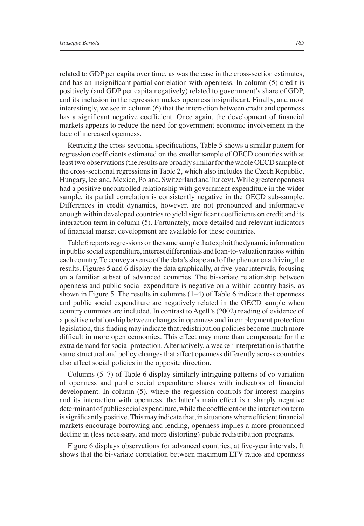related to GDP per capita over time, as was the case in the cross-section estimates, and has an insignificant partial correlation with openness. In column (5) credit is positively (and GDP per capita negatively) related to government's share of GDP, and its inclusion in the regression makes openness insignificant. Finally, and most interestingly, we see in column (6) that the interaction between credit and openness has a significant negative coefficient. Once again, the development of financial markets appears to reduce the need for government economic involvement in the face of increased openness.

Retracing the cross-sectional specifications, Table 5 shows a similar pattern for regression coefficients estimated on the smaller sample of OECD countries with at least two observations (the results are broadly similar for the whole OECD sample of the cross-sectional regressions in Table 2, which also includes the Czech Republic, Hungary, Iceland, Mexico, Poland, Switzerland and Turkey). While greater openness had a positive uncontrolled relationship with government expenditure in the wider sample, its partial correlation is consistently negative in the OECD sub-sample. Differences in credit dynamics, however, are not pronounced and informative enough within developed countries to yield significant coefficients on credit and its interaction term in column (5). Fortunately, more detailed and relevant indicators of financial market development are available for these countries.

Table 6 reports regressions on the same sample that exploit the dynamic information in public social expenditure, interest differentials and loan-to-valuation ratios within each country. To convey a sense of the data's shape and of the phenomena driving the results, Figures 5 and 6 display the data graphically, at five-year intervals, focusing on a familiar subset of advanced countries. The bi-variate relationship between openness and public social expenditure is negative on a within-country basis, as shown in Figure 5. The results in columns (1–4) of Table 6 indicate that openness and public social expenditure are negatively related in the OECD sample when country dummies are included. In contrast to Agell's (2002) reading of evidence of a positive relationship between changes in openness and in employment protection legislation, this finding may indicate that redistribution policies become much more difficult in more open economies. This effect may more than compensate for the extra demand for social protection. Alternatively, a weaker interpretation is that the same structural and policy changes that affect openness differently across countries also affect social policies in the opposite direction.

Columns (5–7) of Table 6 display similarly intriguing patterns of co-variation of openness and public social expenditure shares with indicators of financial development. In column (5), where the regression controls for interest margins and its interaction with openness, the latter's main effect is a sharply negative determinant of public social expenditure, while the coefficient on the interaction term is significantly positive. This may indicate that, in situations where efficient financial markets encourage borrowing and lending, openness implies a more pronounced decline in (less necessary, and more distorting) public redistribution programs.

Figure 6 displays observations for advanced countries, at five-year intervals. It shows that the bi-variate correlation between maximum LTV ratios and openness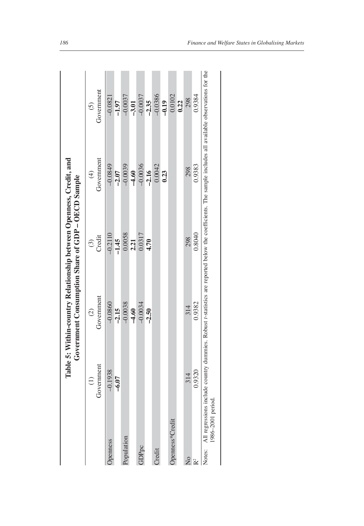|                   | $\widehat{E}$                                     | $\widehat{c}$                                                                                                                       | $\odot$   | $\bigoplus$          | $\widehat{c}$ |
|-------------------|---------------------------------------------------|-------------------------------------------------------------------------------------------------------------------------------------|-----------|----------------------|---------------|
|                   | Government                                        | Government                                                                                                                          | Credit    | Government           | Government    |
| penness           | $-0.1938$                                         | $-0.0860$                                                                                                                           | $-0.2110$ | $-0.0849$            | $-0.0821$     |
|                   | $-6.07$                                           | $-2.15$                                                                                                                             | $-1.45$   | $-2.07$              | $-1.97$       |
| <i>Population</i> |                                                   | $-0.0038$                                                                                                                           | 0.0058    |                      | $-0.0037$     |
|                   |                                                   | $-4.60$                                                                                                                             | 2.21      | $-0.0039$<br>$-4.60$ | $-3.01$       |
| <b>GDPpc</b>      |                                                   | $-0.0034$                                                                                                                           | 0.0317    | $-0.0036$            | $-0.0037$     |
|                   |                                                   | $-2.50$                                                                                                                             | 4.70      | $-2.16$              | $-2.35$       |
| <b>Iredit</b>     |                                                   |                                                                                                                                     |           | 0.0042               | $-0.0386$     |
|                   |                                                   |                                                                                                                                     |           | 0.23                 | $-0.19$       |
|                   | )penness*Credit                                   |                                                                                                                                     |           |                      | 0.0102        |
|                   |                                                   |                                                                                                                                     |           |                      | 0.22          |
| $\frac{1}{2}$     | 314                                               | 314                                                                                                                                 | 298       | 298                  | 298           |
| $\mathsf{P}^2$    | 0.9320                                            | 0.9382                                                                                                                              | 0.8040    | 0.9383               | 0.9384        |
|                   | Notes: All regressions includ<br>986-2001 period. | le country dummies. Robust t-statistics are reported below the coefficients. The sample includes all available observations for the |           |                      |               |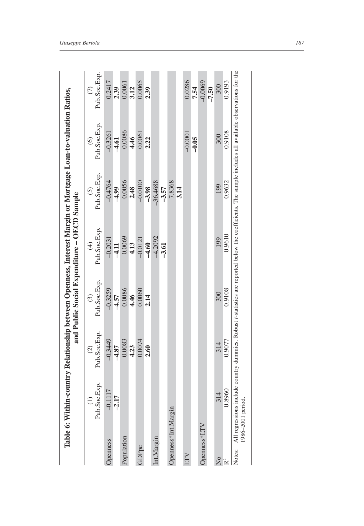|                         |                                             | $\widehat{c}$                                                                                                                      | $\odot$      | $\bigoplus$  | $\widetilde{S}$ | $\odot$      | $\widehat{\subset}$ |
|-------------------------|---------------------------------------------|------------------------------------------------------------------------------------------------------------------------------------|--------------|--------------|-----------------|--------------|---------------------|
|                         | Pub.Soc.Exp.                                | Pub.Soc.Exp.                                                                                                                       | Pub.Soc.Exp. | Pub.Soc.Exp. | Pub.Soc.Exp.    | Pub.Soc.Exp. | Pub.Soc.Exp.        |
| <b>Openness</b>         | $-0.1117$                                   | $-0.3449$                                                                                                                          | $-0.3259$    | $-0.2031$    | $-0.4764$       | $-0.3261$    | 0.2417              |
|                         | $-2.17$                                     | $-4.87$                                                                                                                            | $-4.57$      | $-4.11$      | $-4.99$         | $-4.61$      | 2.39                |
| Population              |                                             | 0.0083                                                                                                                             | 0.0086       | 0.0069       | 0.0056          | 0.0086       | 0.0061              |
|                         |                                             | 4.23                                                                                                                               | 4.46         | 4.13         | 2.48            | 4.46         | 3.12                |
| GDPpc                   |                                             | 0.0074                                                                                                                             | 0.0060       | $-0.0121$    | $-0.0100$       | 0.0061       | 0.0065              |
|                         |                                             | 2.60                                                                                                                               | 2.14         | $-4.60$      | $-3.98$         | 2.22         | 2.39                |
| Int.Margin              |                                             |                                                                                                                                    |              | $-4.2092$    | -36.4688        |              |                     |
|                         |                                             |                                                                                                                                    |              | $-3.61$      | $-3.57$         |              |                     |
|                         | Openness*Int.Margin                         |                                                                                                                                    |              |              | 7.8368          |              |                     |
|                         |                                             |                                                                                                                                    |              |              | 3.14            |              |                     |
| <b>NIT</b>              |                                             |                                                                                                                                    |              |              |                 | $-0.0001$    | 0.0286              |
|                         |                                             |                                                                                                                                    |              |              |                 | $-0.05$      | 7.54                |
| Openness*LTV            |                                             |                                                                                                                                    |              |              |                 |              | $-0.0069$           |
|                         |                                             |                                                                                                                                    |              |              |                 |              | $-7.50$             |
| $\overline{\mathsf{x}}$ | 314                                         | 314                                                                                                                                | 300          | 199          | 199             | 300          | 300                 |
| R <sup>2</sup>          | 0.8960                                      | 0.9077                                                                                                                             | 0.9108       | 0.9610       | 0.9632          | 0.9108       | 0.9193              |
| Notes:                  | All regressions includ<br>1986-2001 period. | e country dummies. Robust t-statistics are reported below the coefficients. The sample includes all available observations for the |              |              |                 |              |                     |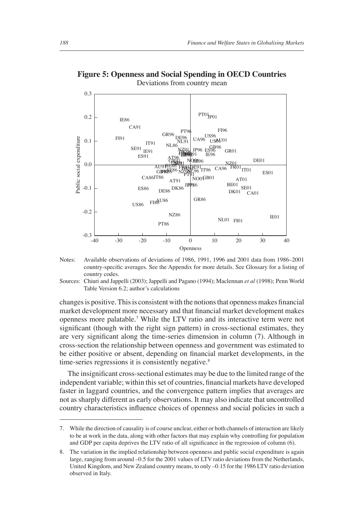

**Figure 5: Openness and Social Spending in OECD Countries** Deviations from country mean

changes is positive. This is consistent with the notions that openness makes financial market development more necessary and that financial market development makes openness more palatable.7 While the LTV ratio and its interactive term were not significant (though with the right sign pattern) in cross-sectional estimates, they are very significant along the time-series dimension in column (7). Although in cross-section the relationship between openness and government was estimated to be either positive or absent, depending on financial market developments, in the time-series regressions it is consistently negative.<sup>8</sup>

The insignificant cross-sectional estimates may be due to the limited range of the independent variable; within this set of countries, financial markets have developed faster in laggard countries, and the convergence pattern implies that averages are not as sharply different as early observations. It may also indicate that uncontrolled country characteristics influence choices of openness and social policies in such a

Notes: Available observations of deviations of 1986, 1991, 1996 and 2001 data from 1986–2001 country-specific averages. See the Appendix for more details. See Glossary for a listing of country codes.

Sources: Chiuri and Jappelli (2003); Jappelli and Pagano (1994); Maclennan *et al* (1998); Penn World Table Version 6.2; author's calculations

<sup>7.</sup> While the direction of causality is of course unclear, either or both channels of interaction are likely to be at work in the data, along with other factors that may explain why controlling for population and GDP per capita deprives the LTV ratio of all significance in the regression of column (6).

<sup>8.</sup> The variation in the implied relationship between openness and public social expenditure is again large, ranging from around –0.5 for the 2001 values of LTV ratio deviations from the Netherlands, United Kingdom, and New Zealand country means, to only –0.15 for the 1986 LTV ratio deviation observed in Italy.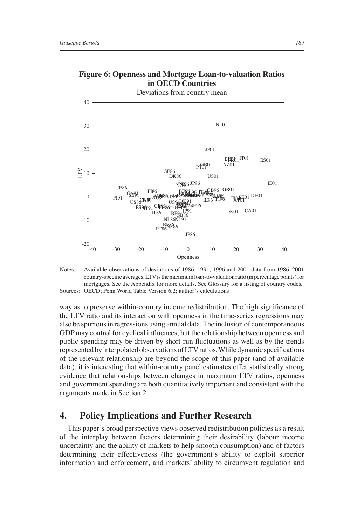

**Figure 6: Openness and Mortgage Loan-to-valuation Ratios in OECD Countries**

Deviations from country mean

Notes: Available observations of deviations of 1986, 1991, 1996 and 2001 data from 1986–2001 country-specifi c averages. LTV is the maximum loan-to-valuation ratio (in percentage points) for mortgages. See the Appendix for more details. See Glossary for a listing of country codes. Sources: OECD; Penn World Table Version 6.2; author's calculations

way as to preserve within-country income redistribution. The high significance of the LTV ratio and its interaction with openness in the time-series regressions may also be spurious in regressions using annual data. The inclusion of contemporaneous GDP may control for cyclical influences, but the relationship between openness and public spending may be driven by short-run fluctuations as well as by the trends represented by interpolated observations of LTV ratios. While dynamic specifications of the relevant relationship are beyond the scope of this paper (and of available data), it is interesting that within-country panel estimates offer statistically strong evidence that relationships between changes in maximum LTV ratios, openness and government spending are both quantitatively important and consistent with the arguments made in Section 2.

# **4. Policy Implications and Further Research**

This paper's broad perspective views observed redistribution policies as a result of the interplay between factors determining their desirability (labour income uncertainty and the ability of markets to help smooth consumption) and of factors determining their effectiveness (the government's ability to exploit superior information and enforcement, and markets' ability to circumvent regulation and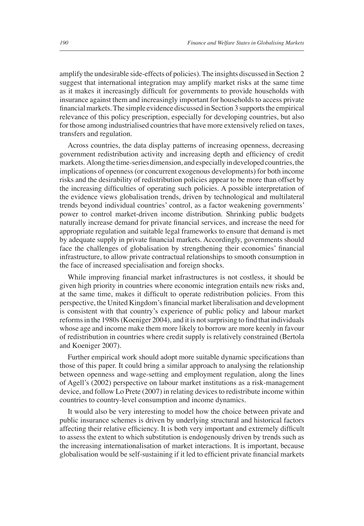amplify the undesirable side-effects of policies). The insights discussed in Section 2 suggest that international integration may amplify market risks at the same time as it makes it increasingly difficult for governments to provide households with insurance against them and increasingly important for households to access private financial markets. The simple evidence discussed in Section 3 supports the empirical relevance of this policy prescription, especially for developing countries, but also for those among industrialised countries that have more extensively relied on taxes, transfers and regulation.

Across countries, the data display patterns of increasing openness, decreasing government redistribution activity and increasing depth and efficiency of credit markets. Along the time-series dimension, and especially in developed countries, the implications of openness (or concurrent exogenous developments) for both income risks and the desirability of redistribution policies appear to be more than offset by the increasing difficulties of operating such policies. A possible interpretation of the evidence views globalisation trends, driven by technological and multilateral trends beyond individual countries' control, as a factor weakening governments' power to control market-driven income distribution. Shrinking public budgets naturally increase demand for private financial services, and increase the need for appropriate regulation and suitable legal frameworks to ensure that demand is met by adequate supply in private financial markets. Accordingly, governments should face the challenges of globalisation by strengthening their economies' financial infrastructure, to allow private contractual relationships to smooth consumption in the face of increased specialisation and foreign shocks.

While improving financial market infrastructures is not costless, it should be given high priority in countries where economic integration entails new risks and, at the same time, makes it difficult to operate redistribution policies. From this perspective, the United Kingdom's fi nancial market liberalisation and development is consistent with that country's experience of public policy and labour market reforms in the 1980s (Koeniger 2004), and it is not surprising to find that individuals whose age and income make them more likely to borrow are more keenly in favour of redistribution in countries where credit supply is relatively constrained (Bertola and Koeniger 2007).

Further empirical work should adopt more suitable dynamic specifications than those of this paper. It could bring a similar approach to analysing the relationship between openness and wage-setting and employment regulation, along the lines of Agell's (2002) perspective on labour market institutions as a risk-management device, and follow Lo Prete (2007) in relating devices to redistribute income within countries to country-level consumption and income dynamics.

It would also be very interesting to model how the choice between private and public insurance schemes is driven by underlying structural and historical factors affecting their relative efficiency. It is both very important and extremely difficult to assess the extent to which substitution is endogenously driven by trends such as the increasing internationalisation of market interactions. It is important, because globalisation would be self-sustaining if it led to efficient private financial markets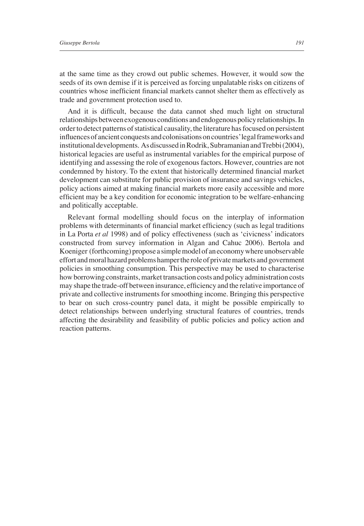at the same time as they crowd out public schemes. However, it would sow the seeds of its own demise if it is perceived as forcing unpalatable risks on citizens of countries whose inefficient financial markets cannot shelter them as effectively as trade and government protection used to.

And it is difficult, because the data cannot shed much light on structural relationships between exogenous conditions and endogenous policy relationships. In order to detect patterns of statistical causality, the literature has focused on persistent influences of ancient conquests and colonisations on countries' legal frameworks and institutional developments. As discussed in Rodrik, Subramanian and Trebbi (2004), historical legacies are useful as instrumental variables for the empirical purpose of identifying and assessing the role of exogenous factors. However, countries are not condemned by history. To the extent that historically determined financial market development can substitute for public provision of insurance and savings vehicles, policy actions aimed at making financial markets more easily accessible and more efficient may be a key condition for economic integration to be welfare-enhancing and politically acceptable.

Relevant formal modelling should focus on the interplay of information problems with determinants of financial market efficiency (such as legal traditions in La Porta *et al* 1998) and of policy effectiveness (such as 'civicness' indicators constructed from survey information in Algan and Cahuc 2006). Bertola and Koeniger (forthcoming) propose a simple model of an economy where unobservable effort and moral hazard problems hamper the role of private markets and government policies in smoothing consumption. This perspective may be used to characterise how borrowing constraints, market transaction costs and policy administration costs may shape the trade-off between insurance, efficiency and the relative importance of private and collective instruments for smoothing income. Bringing this perspective to bear on such cross-country panel data, it might be possible empirically to detect relationships between underlying structural features of countries, trends affecting the desirability and feasibility of public policies and policy action and reaction patterns.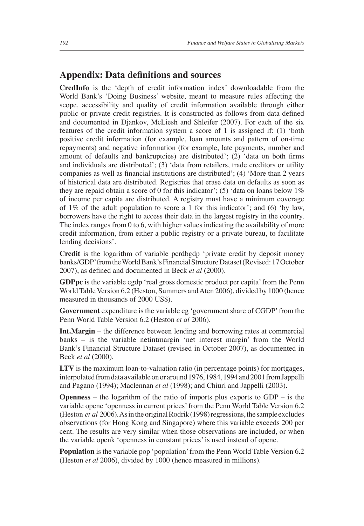# **Appendix: Data definitions and sources**

**CredInfo** is the 'depth of credit information index' downloadable from the World Bank's 'Doing Business' website, meant to measure rules affecting the scope, accessibility and quality of credit information available through either public or private credit registries. It is constructed as follows from data defined and documented in Djankov, McLiesh and Shleifer (2007). For each of the six features of the credit information system a score of 1 is assigned if: (1) 'both positive credit information (for example, loan amounts and pattern of on-time repayments) and negative information (for example, late payments, number and amount of defaults and bankruptcies) are distributed';  $(2)$  'data on both firms and individuals are distributed'; (3) 'data from retailers, trade creditors or utility companies as well as financial institutions are distributed';  $(4)$  'More than 2 years of historical data are distributed. Registries that erase data on defaults as soon as they are repaid obtain a score of 0 for this indicator'; (5) 'data on loans below 1% of income per capita are distributed. A registry must have a minimum coverage of 1% of the adult population to score a 1 for this indicator'; and (6) 'by law, borrowers have the right to access their data in the largest registry in the country. The index ranges from 0 to 6, with higher values indicating the availability of more credit information, from either a public registry or a private bureau, to facilitate lending decisions'.

**Credit** is the logarithm of variable pcrdbgdp 'private credit by deposit money banks/GDP' from the World Bank's Financial Structure Dataset (Revised: 17 October 2007), as defined and documented in Beck *et al* (2000).

**GDPpc** is the variable cgdp 'real gross domestic product per capita' from the Penn World Table Version 6.2 (Heston, Summers and Aten 2006), divided by 1000 (hence measured in thousands of 2000 US\$).

**Government** expenditure is the variable cg 'government share of CGDP' from the Penn World Table Version 6.2 (Heston *et al* 2006).

**Int.Margin** – the difference between lending and borrowing rates at commercial banks – is the variable netintmargin 'net interest margin' from the World Bank's Financial Structure Dataset (revised in October 2007), as documented in Beck *et al* (2000).

**LTV** is the maximum loan-to-valuation ratio (in percentage points) for mortgages, interpolated from data available on or around 1976, 1984, 1994 and 2001 from Jappelli and Pagano (1994); Maclennan *et al* (1998); and Chiuri and Jappelli (2003).

**Openness** – the logarithm of the ratio of imports plus exports to GDP – is the variable openc 'openness in current prices' from the Penn World Table Version 6.2 (Heston *et al* 2006). As in the original Rodrik (1998) regressions, the sample excludes observations (for Hong Kong and Singapore) where this variable exceeds 200 per cent. The results are very similar when those observations are included, or when the variable openk 'openness in constant prices' is used instead of openc.

**Population** is the variable pop 'population' from the Penn World Table Version 6.2 (Heston *et al* 2006), divided by 1000 (hence measured in millions).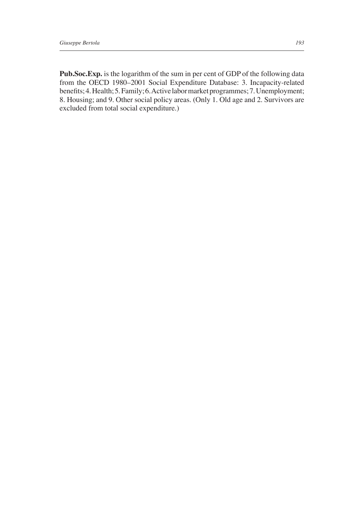**Pub.Soc.Exp.** is the logarithm of the sum in per cent of GDP of the following data from the OECD 1980–2001 Social Expenditure Database: 3. Incapacity-related benefits; 4. Health; 5. Family; 6. Active labor market programmes; 7. Unemployment; 8. Housing; and 9. Other social policy areas. (Only 1. Old age and 2. Survivors are excluded from total social expenditure.)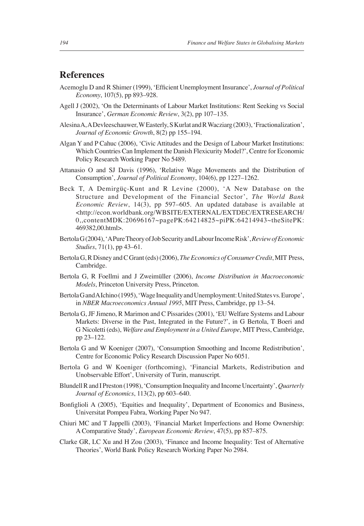# **References**

- Acemoglu D and R Shimer (1999), 'Efficient Unemployment Insurance', *Journal of Political Economy*, 107(5), pp 893–928.
- Agell J (2002), 'On the Determinants of Labour Market Institutions: Rent Seeking vs Social Insurance', *German Economic Review*, 3(2), pp 107–135.
- Alesina A, A Devleeschauwer, W Easterly, S Kurlat and R Wacziarg (2003), 'Fractionalization', *Journal of Economic Growth*, 8(2) pp 155–194.
- Algan Y and P Cahuc (2006), 'Civic Attitudes and the Design of Labour Market Institutions: Which Countries Can Implement the Danish Flexicurity Model?', Centre for Economic Policy Research Working Paper No 5489.
- Attanasio O and SJ Davis (1996), 'Relative Wage Movements and the Distribution of Consumption', *Journal of Political Economy*, 104(6), pp 1227–1262.
- Beck T, A Demirgüç-Kunt and R Levine (2000), 'A New Database on the Structure and Development of the Financial Sector', *The World Bank Economic Review*, 14(3), pp 597–605. An updated database is available at <http://econ.worldbank.org/WBSITE/EXTERNAL/EXTDEC/EXTRESEARCH/ 0,,contentMDK:20696167~pagePK:64214825~piPK:64214943~theSitePK: 469382,00.html>.
- Bertola G (2004), 'A Pure Theory of Job Security and Labour Income Risk', *Review of Economic Studies*, 71(1), pp 43–61.
- Bertola G, R Disney and C Grant (eds) (2006), *The Economics of Consumer Credit*, MIT Press, Cambridge.
- Bertola G, R Foellmi and J Zweimüller (2006), *Income Distribution in Macroeconomic Models*, Princeton University Press, Princeton.
- Bertola G and A Ichino (1995), 'Wage Inequality and Unemployment: United States vs. Europe', in *NBER Macroeconomics Annual 1995*, MIT Press, Cambridge, pp 13–54.
- Bertola G, JF Jimeno, R Marimon and C Pissarides (2001), 'EU Welfare Systems and Labour Markets: Diverse in the Past, Integrated in the Future?', in G Bertola, T Boeri and G Nicoletti (eds), *Welfare and Employment in a United Europe*, MIT Press, Cambridge, pp 23–122.
- Bertola G and W Koeniger (2007), 'Consumption Smoothing and Income Redistribution', Centre for Economic Policy Research Discussion Paper No 6051.
- Bertola G and W Koeniger (forthcoming), 'Financial Markets, Redistribution and Unobservable Effort', University of Turin, manuscript.
- Blundell R and I Preston (1998), 'Consumption Inequality and Income Uncertainty', *Quarterly Journal of Economics*, 113(2), pp 603–640.
- Bonfiglioli A (2005), 'Equities and Inequality', Department of Economics and Business, Universitat Pompeu Fabra, Working Paper No 947.
- Chiuri MC and T Jappelli (2003), 'Financial Market Imperfections and Home Ownership: A Comparative Study', *European Economic Review*, 47(5), pp 857–875.
- Clarke GR, LC Xu and H Zou (2003), 'Finance and Income Inequality: Test of Alternative Theories', World Bank Policy Research Working Paper No 2984.